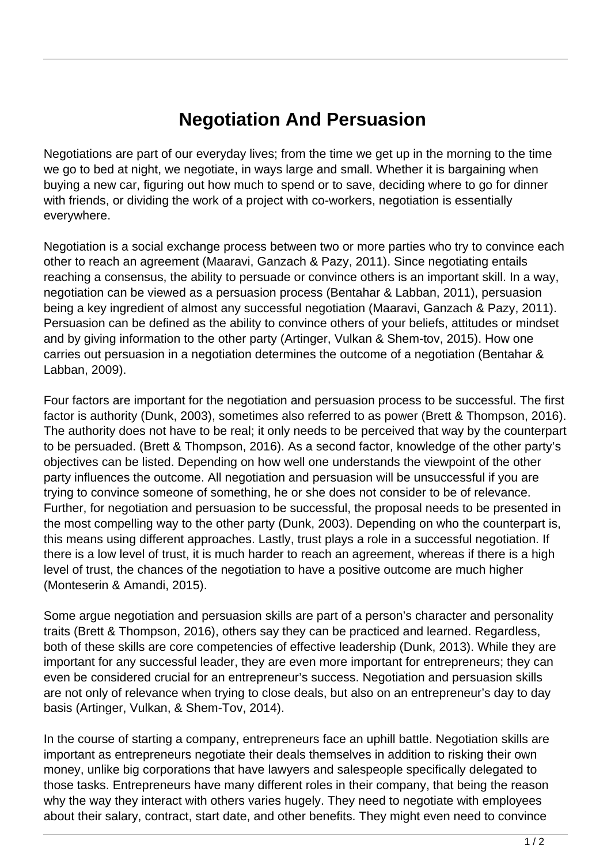## **Negotiation And Persuasion**

Negotiations are part of our everyday lives; from the time we get up in the morning to the time we go to bed at night, we negotiate, in ways large and small. Whether it is bargaining when buying a new car, figuring out how much to spend or to save, deciding where to go for dinner with friends, or dividing the work of a project with co-workers, negotiation is essentially everywhere.

Negotiation is a social exchange process between two or more parties who try to convince each other to reach an agreement (Maaravi, Ganzach & Pazy, 2011). Since negotiating entails reaching a consensus, the ability to persuade or convince others is an important skill. In a way, negotiation can be viewed as a persuasion process (Bentahar & Labban, 2011), persuasion being a key ingredient of almost any successful negotiation (Maaravi, Ganzach & Pazy, 2011). Persuasion can be defined as the ability to convince others of your beliefs, attitudes or mindset and by giving information to the other party (Artinger, Vulkan & Shem-tov, 2015). How one carries out persuasion in a negotiation determines the outcome of a negotiation (Bentahar & Labban, 2009).

Four factors are important for the negotiation and persuasion process to be successful. The first factor is authority (Dunk, 2003), sometimes also referred to as power (Brett & Thompson, 2016). The authority does not have to be real; it only needs to be perceived that way by the counterpart to be persuaded. (Brett & Thompson, 2016). As a second factor, knowledge of the other party's objectives can be listed. Depending on how well one understands the viewpoint of the other party influences the outcome. All negotiation and persuasion will be unsuccessful if you are trying to convince someone of something, he or she does not consider to be of relevance. Further, for negotiation and persuasion to be successful, the proposal needs to be presented in the most compelling way to the other party (Dunk, 2003). Depending on who the counterpart is, this means using different approaches. Lastly, trust plays a role in a successful negotiation. If there is a low level of trust, it is much harder to reach an agreement, whereas if there is a high level of trust, the chances of the negotiation to have a positive outcome are much higher (Monteserin & Amandi, 2015).

Some argue negotiation and persuasion skills are part of a person's character and personality traits (Brett & Thompson, 2016), others say they can be practiced and learned. Regardless, both of these skills are core competencies of effective leadership (Dunk, 2013). While they are important for any successful leader, they are even more important for entrepreneurs; they can even be considered crucial for an entrepreneur's success. Negotiation and persuasion skills are not only of relevance when trying to close deals, but also on an entrepreneur's day to day basis (Artinger, Vulkan, & Shem-Tov, 2014).

In the course of starting a company, entrepreneurs face an uphill battle. Negotiation skills are important as entrepreneurs negotiate their deals themselves in addition to risking their own money, unlike big corporations that have lawyers and salespeople specifically delegated to those tasks. Entrepreneurs have many different roles in their company, that being the reason why the way they interact with others varies hugely. They need to negotiate with employees about their salary, contract, start date, and other benefits. They might even need to convince